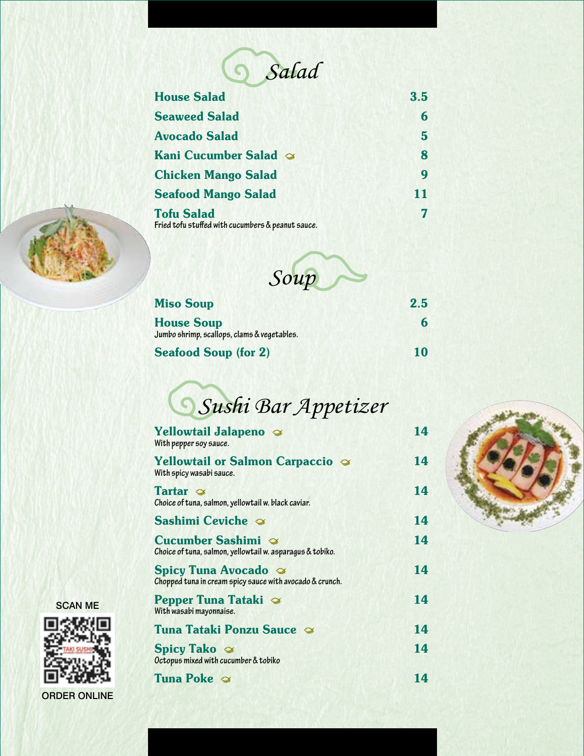

| <b>House Salad</b>                                                     | 3.5 |
|------------------------------------------------------------------------|-----|
| <b>Seaweed Salad</b>                                                   | 6   |
| <b>Avocado Salad</b>                                                   | 5   |
| Kani Cucumber Salad $\infty$                                           | 8   |
| <b>Chicken Mango Salad</b>                                             | Q   |
| <b>Seafood Mango Salad</b>                                             | 11  |
| <b>Tofu Salad</b><br>Fried tofu stuffed with cucumbers & peanut sauce. |     |



| Soup                                                             |     |
|------------------------------------------------------------------|-----|
| <b>Miso Soup</b>                                                 | 2.5 |
| <b>House Soup</b><br>Jumbo shrimp, scallops, clams & vegetables. |     |
| <b>Seafood Soup (for 2)</b>                                      |     |



| <b>Yellowtail Jalapeno</b><br>With pepper soy sauce.                                          | 14 |
|-----------------------------------------------------------------------------------------------|----|
| <b>Yellowtail or Salmon Carpaccio</b><br>With spicy wasabi sauce.                             | 14 |
| Tartar $\infty$<br>Choice of tuna, salmon, yellowtail w. black caviar.                        | 14 |
| Sashimi Ceviche $\infty$                                                                      | 14 |
| <b>Cucumber Sashimi</b> $\infty$<br>Choice of tuna, salmon, yellowtail w. asparagus & tobiko. | 14 |
| <b>Spicy Tuna Avocado</b><br>Chopped tuna in cream spicy sauce with avocado & crunch.         | 14 |
| <b>Pepper Tuna Tataki</b><br>With wasabi mayonnaise.                                          | 14 |
| Tuna Tataki Ponzu Sauce                                                                       | 14 |
| <b>Spicy Tako</b> $\otimes$<br>Octopus mixed with cucumber & tobiko                           | 14 |
| <b>Tuna Poke</b>                                                                              | 14 |



**SCAN ME** 



ORDER ONLINE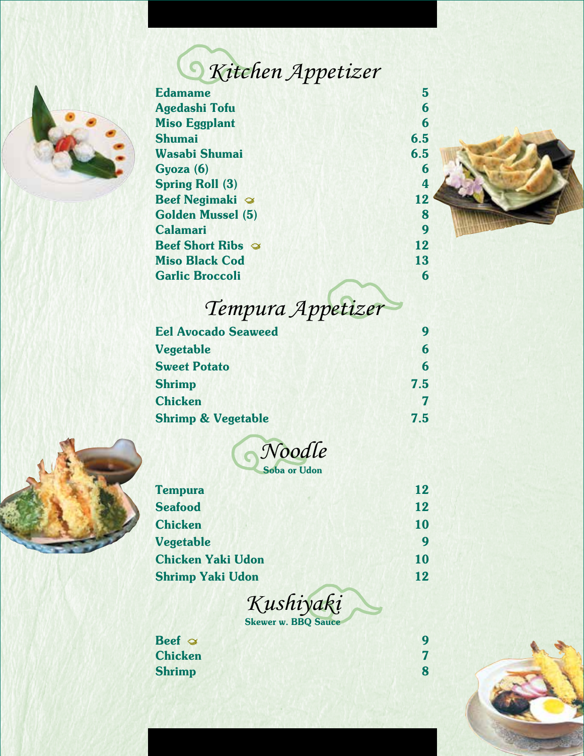## *Kitchen Appetizer*



| <b>Edamame</b>                  | 5   |
|---------------------------------|-----|
| Agedashi Tofu                   | 6   |
| <b>Miso Eggplant</b>            | 6   |
| <b>Shumai</b>                   | 6.5 |
| Wasabi Shumai                   | 6.5 |
| Gyoza (6)                       | 6   |
| <b>Spring Roll (3)</b>          | 4   |
| <b>Beef Negimaki</b> $\infty$   | 12  |
| <b>Golden Mussel (5)</b>        | 8   |
| <b>Calamari</b>                 | 9   |
| <b>Beef Short Ribs</b> $\infty$ | 12  |
| <b>Miso Black Cod</b>           | 13  |
| <b>Garlic Broccoli</b>          | 6   |
|                                 |     |



## *Tempura Appetizer*

| <b>Eel Avocado Seaweed</b>    | 9   |
|-------------------------------|-----|
| Vegetable                     | 6   |
| <b>Sweet Potato</b>           | 6   |
| <b>Shrimp</b>                 | 7.5 |
| <b>Chicken</b>                |     |
| <b>Shrimp &amp; Vegetable</b> | 7.5 |



| Noodle              |
|---------------------|
| <b>Soba or Udon</b> |

| 12 |
|----|
| 12 |
| 10 |
| 9  |
| 10 |
| 12 |
|    |



 $\begin{array}{c}\n\text{Beef} \sim \\
\text{Chicken}\qquad \qquad 7\n\end{array}$ **Chicken** Shrimp 8 8

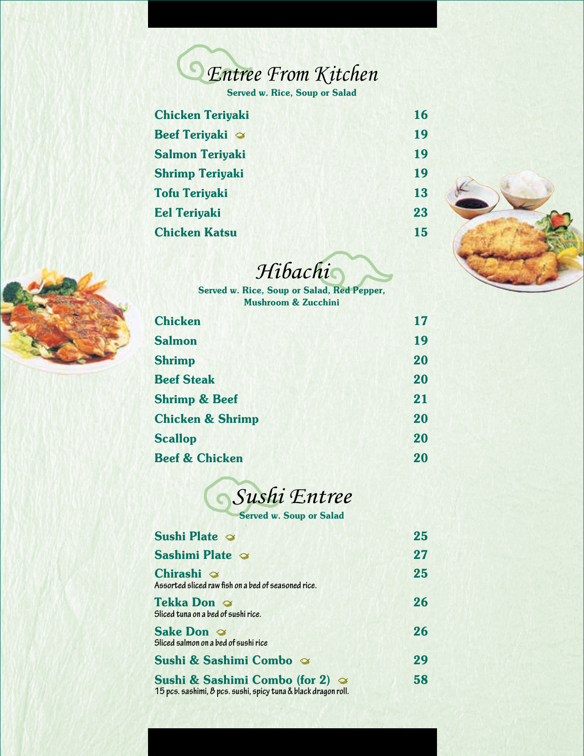

| <b>Chicken Teriyaki</b>       | 16 |
|-------------------------------|----|
| <b>Beef Teriyaki</b> $\infty$ | 19 |
| <b>Salmon Teriyaki</b>        | 19 |
| <b>Shrimp Teriyaki</b>        | 19 |
| <b>Tofu Teriyaki</b>          | 13 |
| <b>Eel Teriyaki</b>           | 23 |
| <b>Chicken Katsu</b>          | 15 |
|                               |    |





| Hibachi |  |
|---------|--|
|         |  |

Served w. Rice, Soup or Salad, Red Pepper, Mushroom & Zucchini

| <b>Chicken</b>              | 17 |
|-----------------------------|----|
| <b>Salmon</b>               | 19 |
| <b>Shrimp</b>               | 20 |
| <b>Beef Steak</b>           | 20 |
| <b>Shrimp &amp; Beef</b>    | 21 |
| <b>Chicken &amp; Shrimp</b> | 20 |
| <b>Scallop</b>              | 20 |
| <b>Beef &amp; Chicken</b>   | 20 |



| <b>Sushi Plate <math>\infty</math></b>                                                                              | 25 |
|---------------------------------------------------------------------------------------------------------------------|----|
| Sashimi Plate $\infty$                                                                                              | 27 |
| Chirashi $\infty$<br>Assorted sliced raw fish on a bed of seasoned rice.                                            | 25 |
| Tekka Don ⊗<br>Sliced tuna on a bed of sushi rice.                                                                  | 26 |
| <b>Sake Don</b><br>Sliced salmon on a bed of sushi rice                                                             | 26 |
| Sushi & Sashimi Combo &                                                                                             | 29 |
| <b>Sushi &amp; Sashimi Combo (for 2)</b> $\infty$<br>15 pcs. sashimi, 8 pcs. sushi, spicy tuna & black dragon roll. | 58 |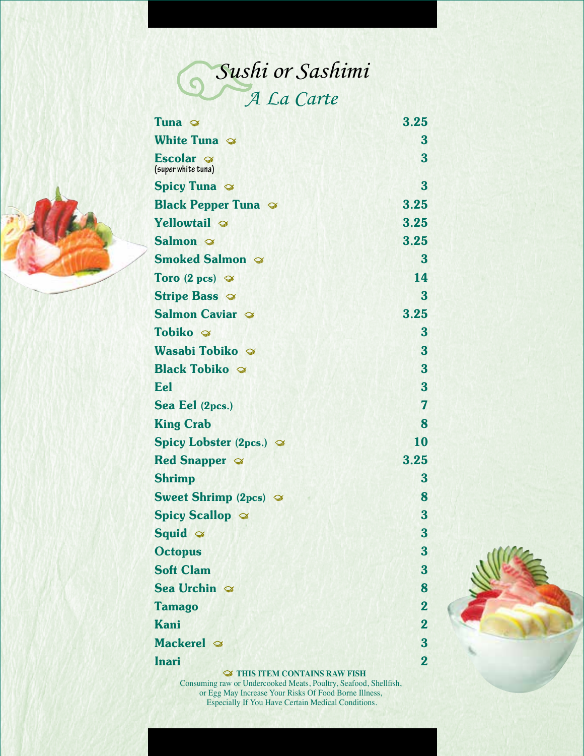

| Tuna $\infty$                          | 3.25                    |
|----------------------------------------|-------------------------|
| White Tuna $\infty$                    | 3                       |
| Escolar $\infty$<br>(super white tuna) | 3                       |
| <b>Spicy Tuna</b>                      | 3                       |
| <b>Black Pepper Tuna</b>               | 3.25                    |
| Yellowtail $\infty$                    | 3.25                    |
| Salmon $\infty$                        | 3.25                    |
| <b>Smoked Salmon</b>                   | $\bf{3}$                |
| Toro (2 pcs) $\infty$                  | 14                      |
| <b>Stripe Bass</b>                     | 3                       |
| Salmon Caviar                          | 3.25                    |
| Tobiko $\infty$                        | 3                       |
| Wasabi Tobiko $\infty$                 | 3                       |
| <b>Black Tobiko</b>                    | 3                       |
| Eel                                    | 3                       |
| Sea Eel (2pcs.)                        | 7                       |
| <b>King Crab</b>                       | 8                       |
| Spicy Lobster (2pcs.) $\infty$         | 10                      |
| <b>Red Snapper <math>\infty</math></b> | 3.25                    |
| <b>Shrimp</b>                          | 3                       |
| <b>Sweet Shrimp (2pcs)</b> $\infty$    | 8                       |
| <b>Spicy Scallop &amp;</b>             | 3                       |
| Squid $\infty$                         | 3                       |
| <b>Octopus</b>                         | 3                       |
| <b>Soft Clam</b>                       | 3                       |
| Sea Urchin $\infty$                    | 8                       |
| <b>Tamago</b>                          | $\overline{2}$          |
| <b>Kani</b>                            | $\overline{2}$          |
| Mackerel $\infty$                      | $\overline{\mathbf{3}}$ |
| <b>Inari</b>                           | $\overline{2}$          |

 $\blacktriangleright$  THIS ITEM CONTAINS RAW FISH Consuming raw or Undercooked Meats, Poultry, Seafood, Shellfish, or Egg May Increase Your Risks Of Food Borne Illness, Especially If You Have Certain Medical Conditions.



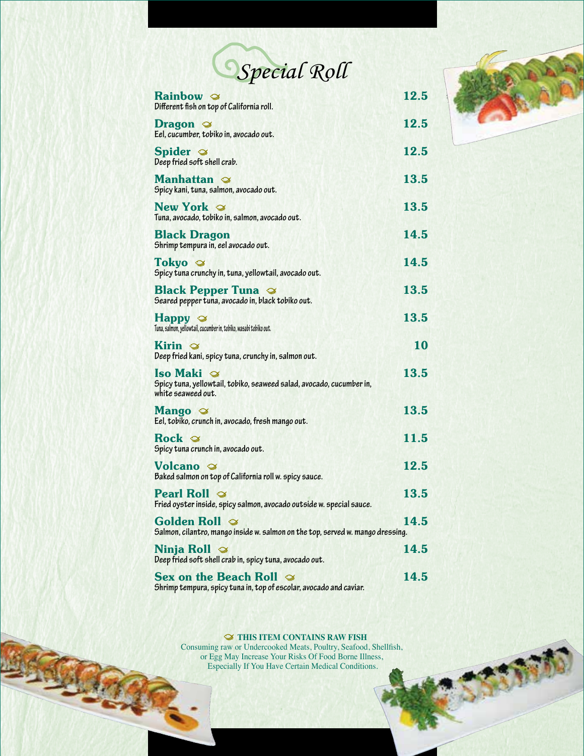

| Rainbow $\infty$<br>Different fish on top of California roll.                                                           | 12.5        |
|-------------------------------------------------------------------------------------------------------------------------|-------------|
| <b>Dragon</b><br>Eel, cucumber, tobiko in, avocado out.                                                                 | 12.5        |
| Spider $\infty$<br>Deep fried soft shell crab.                                                                          | 12.5        |
| <b>Manhattan</b> $\otimes$<br>Spicy kani, tuna, salmon, avocado out.                                                    | 13.5        |
| New York $\infty$<br>Tuna, avocado, tobiko in, salmon, avocado out.                                                     | 13.5        |
| <b>Black Dragon</b><br>Shrimp tempura in, eel avocado out.                                                              | 14.5        |
| Tokyo $\otimes$<br>Spicy tuna crunchy in, tuna, yellowtail, avocado out.                                                | 14.5        |
| <b>Black Pepper Tuna</b><br>Seared pepper tuna, avocado in, black tobiko out.                                           | 13.5        |
| $\mathbf{H}$ appy $\mathcal{D}$<br>Tuna, salmon, yellowtail, cucumber in, tobiko, wasabi tobiko out.                    | 13.5        |
| Kirin $\infty$<br>Deep fried kani, spicy tuna, crunchy in, salmon out.                                                  | 10          |
| <b>Iso Maki</b> $\otimes$<br>Spicy tuna, yellowtail, tobiko, seaweed salad, avocado, cucumber in,<br>white seaweed out. | 13.5        |
| <b>Mango</b><br>Eel, tobiko, crunch in, avocado, fresh mango out.                                                       | 13.5        |
| Spicy tuna crunch in, avocado out.                                                                                      | 11.5        |
| <b>Volcano</b> $\otimes$<br>Baked salmon on top of California roll w. spicy sauce.                                      | 12.5        |
| <b>Pearl Roll</b> $\infty$<br>Fried oyster inside, spicy salmon, avocado outside w. special sauce.                      | 13.5        |
| Golden Roll $\,\,\approx\,\,$<br>Salmon, cilantro, mango inside w. salmon on the top, served w. mango dressing.         | 14.5        |
| Ninja Roll $\heartsuit$<br>Deep fried soft shell crab in, spicy tuna, avocado out.                                      | 14.5        |
| Sex on the Beach Roll $\infty$<br>Shrimp tempura, spicy tuna in, top of escolar, avocado and caviar.                    | <b>14.5</b> |

## $\blacktriangleright$  THIS ITEM CONTAINS RAW FISH

Consuming raw or Undercooked Meats, Poultry, Seafood, Shellfish, or Egg May Increase Your Risks Of Food Borne Illness, Especially If You Have Certain Medical Conditions.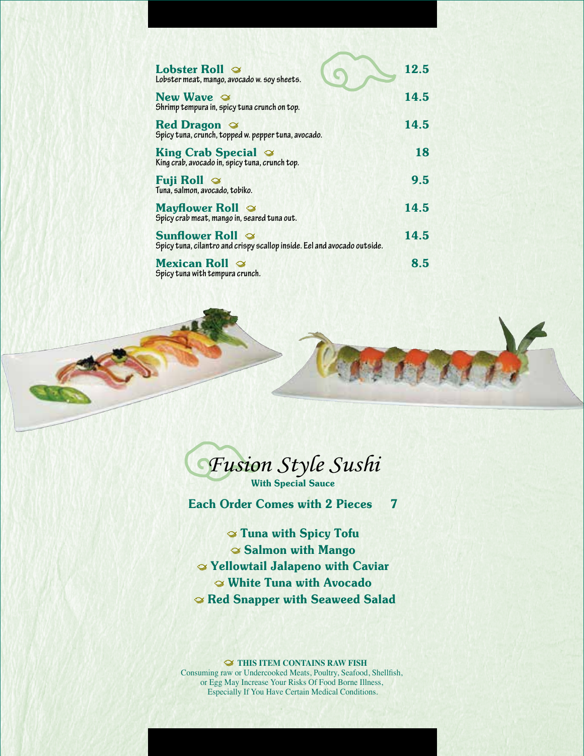| <b>Lobster Roll</b> $\infty$<br>Lobster meat, mango, avocado w. soy sheets.                                | 12.5 |
|------------------------------------------------------------------------------------------------------------|------|
| New Wave $\mathcal{D}$<br>Shrimp tempura in, spicy tuna crunch on top.                                     | 14.5 |
| <b>Red Dragon</b> $\otimes$<br>Spicy tuna, crunch, topped w. pepper tuna, avocado.                         | 14.5 |
| King Crab Special $\infty$<br>King crab, avocado in, spicy tuna, crunch top.                               | 18   |
| <b>Fuji Roll</b> $\infty$<br>Tuna, salmon, avocado, tobiko.                                                | 9.5  |
| <b>Mayflower Roll</b><br>Spicy crab meat, mango in, seared tuna out.                                       | 14.5 |
| <b>Sunflower Roll</b> $\infty$<br>Spicy tuna, cilantro and crispy scallop inside. Eel and avocado outside. | 14.5 |
| <b>Mexican Roll</b> $\infty$<br>Spicy tuna with tempura crunch.                                            | 8.5  |



*Fusion Style Sushi* With Special Sauce

Each Order Comes with 2 Pieces 7

 Tuna with Spicy Tofu Salmon with Mango Yellowtail Jalapeno with Caviar White Tuna with Avocado Red Snapper with Seaweed Salad

 $\mathcal D$  THIS ITEM CONTAINS RAW FISH Consuming raw or Undercooked Meats, Poultry, Seafood, Shellfish, or Egg May Increase Your Risks Of Food Borne Illness, Especially If You Have Certain Medical Conditions.